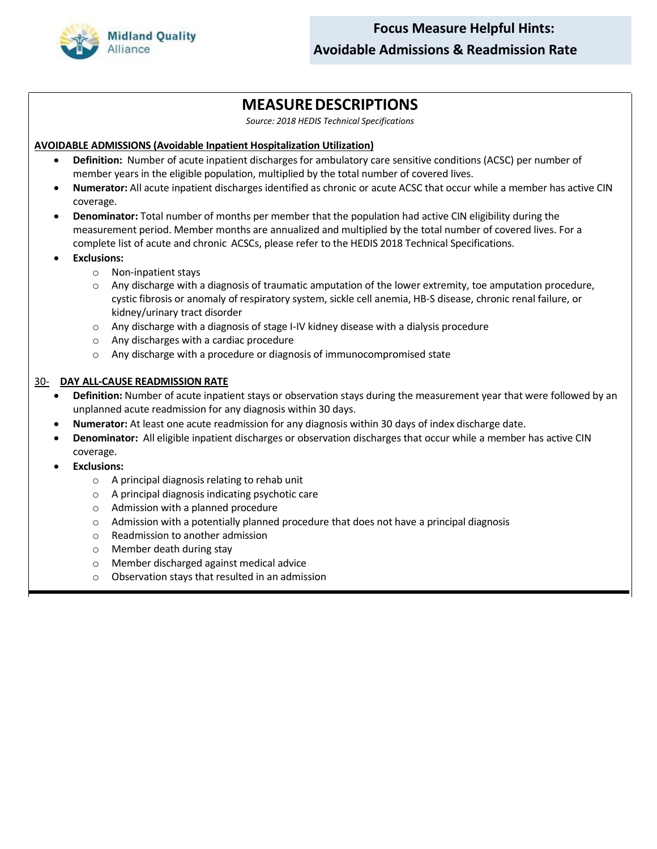

## **MEASUREDESCRIPTIONS**

*Source: 2018 HEDIS Technical Specifications*

## **AVOIDABLE ADMISSIONS (Avoidable Inpatient Hospitalization Utilization)**

- **Definition:** Number of acute inpatient discharges for ambulatory care sensitive conditions (ACSC) per number of member years in the eligible population, multiplied by the total number of covered lives.
- **Numerator:** All acute inpatient discharges identified as chronic or acute ACSC that occur while a member has active CIN coverage.
- **Denominator:** Total number of months per member that the population had active CIN eligibility during the measurement period. Member months are annualized and multiplied by the total number of covered lives. For a complete list of acute and chronic ACSCs, please refer to the HEDIS 2018 Technical Specifications.
- **Exclusions:**
	- o Non-inpatient stays
	- $\circ$  Any discharge with a diagnosis of traumatic amputation of the lower extremity, toe amputation procedure, cystic fibrosis or anomaly of respiratory system, sickle cell anemia, HB-S disease, chronic renal failure, or kidney/urinary tract disorder
	- o Any discharge with a diagnosis of stage I-IV kidney disease with a dialysis procedure
	- o Any discharges with a cardiac procedure
	- o Any discharge with a procedure or diagnosis of immunocompromised state

## 30- **DAY ALL-CAUSE READMISSION RATE**

- **Definition:** Number of acute inpatient stays or observation stays during the measurement year that were followed by an unplanned acute readmission for any diagnosis within 30 days.
- **Numerator:** At least one acute readmission for any diagnosis within 30 days of index discharge date.
- **Denominator:** All eligible inpatient discharges or observation discharges that occur while a member has active CIN coverage.
- **Exclusions:**
	- o A principal diagnosis relating to rehab unit
	- o A principal diagnosis indicating psychotic care
	- o Admission with a planned procedure
	- $\circ$  Admission with a potentially planned procedure that does not have a principal diagnosis
	- o Readmission to another admission
	- o Member death during stay
	- o Member discharged against medical advice
	- o Observation stays that resulted in an admission